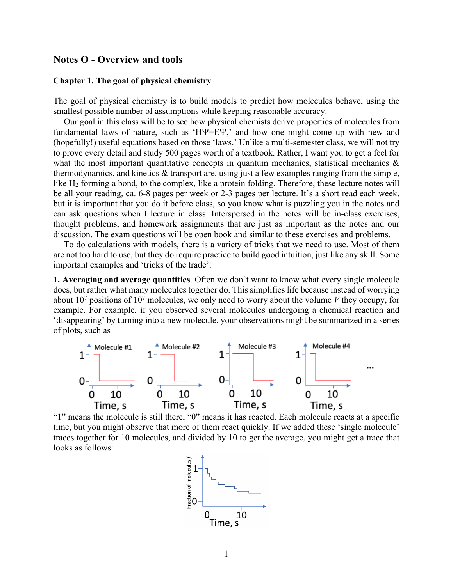# **Notes O - Overview and tools**

### **Chapter 1. The goal of physical chemistry**

The goal of physical chemistry is to build models to predict how molecules behave, using the smallest possible number of assumptions while keeping reasonable accuracy.

Our goal in this class will be to see how physical chemists derive properties of molecules from fundamental laws of nature, such as 'HY=EY,' and how one might come up with new and (hopefully!) useful equations based on those 'laws.' Unlike a multi-semester class, we will not try to prove every detail and study 500 pages worth of a textbook. Rather, I want you to get a feel for what the most important quantitative concepts in quantum mechanics, statistical mechanics  $\&$ thermodynamics, and kinetics & transport are, using just a few examples ranging from the simple, like H<sub>2</sub> forming a bond, to the complex, like a protein folding. Therefore, these lecture notes will be all your reading, ca. 6-8 pages per week or 2-3 pages per lecture. It's a short read each week, but it is important that you do it before class, so you know what is puzzling you in the notes and can ask questions when I lecture in class. Interspersed in the notes will be in-class exercises, thought problems, and homework assignments that are just as important as the notes and our discussion. The exam questions will be open book and similar to these exercises and problems.

To do calculations with models, there is a variety of tricks that we need to use. Most of them are not too hard to use, but they do require practice to build good intuition, just like any skill. Some important examples and 'tricks of the trade':

**1. Averaging and average quantities**. Often we don't want to know what every single molecule does, but rather what many molecules together do. This simplifies life because instead of worrying about  $10<sup>7</sup>$  positions of  $10<sup>7</sup>$  molecules, we only need to worry about the volume *V* they occupy, for example. For example, if you observed several molecules undergoing a chemical reaction and 'disappearing' by turning into a new molecule, your observations might be summarized in a series of plots, such as



"1" means the molecule is still there, "0" means it has reacted. Each molecule reacts at a specific time, but you might observe that more of them react quickly. If we added these 'single molecule' traces together for 10 molecules, and divided by 10 to get the average, you might get a trace that looks as follows:

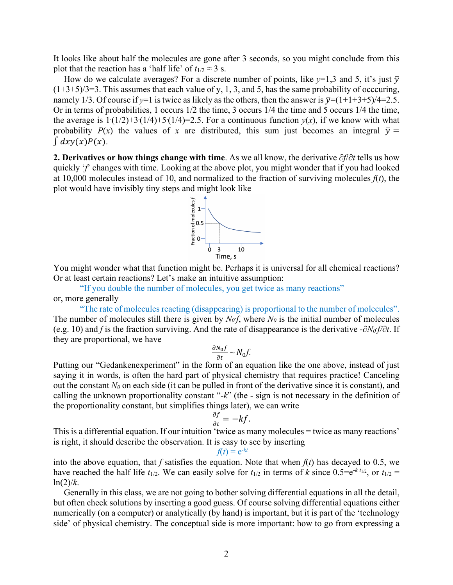It looks like about half the molecules are gone after 3 seconds, so you might conclude from this plot that the reaction has a 'half life' of  $t_{1/2} \approx 3$  s.

How do we calculate averages? For a discrete number of points, like  $v=1,3$  and 5, it's just  $\bar{v}$  $(1+3+5)/3=3$ . This assumes that each value of y, 1, 3, and 5, has the same probability of occcuring, namely 1/3. Of course if  $y=1$  is twice as likely as the others, then the answer is  $\bar{y}=(1+1+3+5)/4=2.5$ . Or in terms of probabilities, 1 occurs 1/2 the time, 3 occurs 1/4 the time and 5 occurs 1/4 the time, the average is  $1 \cdot (1/2) + 3 \cdot (1/4) + 5 \cdot (1/4) = 2.5$ . For a continuous function  $y(x)$ , if we know with what probability  $P(x)$  the values of x are distributed, this sum just becomes an integral  $\bar{y} =$  $\int dx y(x)P(x)$ .

**2. Derivatives or how things change with time**. As we all know, the derivative ∂*f*/∂*t* tells us how quickly '*f*' changes with time. Looking at the above plot, you might wonder that if you had looked at 10,000 molecules instead of 10, and normalized to the fraction of surviving molecules  $f(t)$ , the plot would have invisibly tiny steps and might look like



You might wonder what that function might be. Perhaps it is universal for all chemical reactions? Or at least certain reactions? Let's make an intuitive assumption:

"If you double the number of molecules, you get twice as many reactions" or, more generally

"The rate of molecules reacting (disappearing) is proportional to the number of molecules". The number of molecules still there is given by  $N_0 f$ , where  $N_0$  is the initial number of molecules (e.g. 10) and *f* is the fraction surviving. And the rate of disappearance is the derivative -∂*N0* . *f/∂t*. If they are proportional, we have

$$
\frac{\partial N_0 f}{\partial t} \sim N_0 f.
$$

Putting our "Gedankenexperiment" in the form of an equation like the one above, instead of just saying it in words, is often the hard part of physical chemistry that requires practice! Canceling out the constant  $N_0$  on each side (it can be pulled in front of the derivative since it is constant), and calling the unknown proportionality constant "-*k*" (the - sign is not necessary in the definition of the proportionality constant, but simplifies things later), we can write

$$
\frac{\partial f}{\partial t} = -kf.
$$

This is a differential equation. If our intuition 'twice as many molecules = twice as many reactions' is right, it should describe the observation. It is easy to see by inserting

 $f(t) = e^{-kt}$ 

into the above equation, that *f* satisfies the equation. Note that when  $f(t)$  has decayed to 0.5, we have reached the half life  $t_{1/2}$ . We can easily solve for  $t_{1/2}$  in terms of *k* since  $0.5=e^{-k t_{1/2}}$ , or  $t_{1/2}$  $ln(2)/k$ .

Generally in this class, we are not going to bother solving differential equations in all the detail, but often check solutions by inserting a good guess. Of course solving differential equations either numerically (on a computer) or analytically (by hand) is important, but it is part of the 'technology side' of physical chemistry. The conceptual side is more important: how to go from expressing a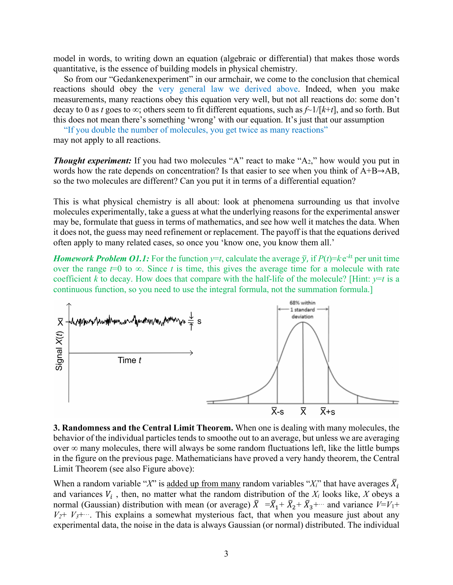model in words, to writing down an equation (algebraic or differential) that makes those words quantitative, is the essence of building models in physical chemistry.

So from our "Gedankenexperiment" in our armchair, we come to the conclusion that chemical reactions should obey the very general law we derived above. Indeed, when you make measurements, many reactions obey this equation very well, but not all reactions do: some don't decay to 0 as *t* goes to ∞; others seem to fit different equations, such as *f*~1/[*k*+*t*], and so forth. But this does not mean there's something 'wrong' with our equation. It's just that our assumption

"If you double the number of molecules, you get twice as many reactions"

may not apply to all reactions.

*Thought experiment:* If you had two molecules "A" react to make "A<sub>2</sub>," how would you put in words how the rate depends on concentration? Is that easier to see when you think of A+B→AB, so the two molecules are different? Can you put it in terms of a differential equation?

This is what physical chemistry is all about: look at phenomena surrounding us that involve molecules experimentally, take a guess at what the underlying reasons for the experimental answer may be, formulate that guess in terms of mathematics, and see how well it matches the data. When it does not, the guess may need refinement or replacement. The payoff is that the equations derived often apply to many related cases, so once you 'know one, you know them all.'

*Homework Problem O1.1:* For the function  $y=t$ , calculate the average  $\bar{y}$ , if  $P(t)=k e^{-kt}$  per unit time over the range  $t=0$  to  $\infty$ . Since *t* is time, this gives the average time for a molecule with rate coefficient *k* to decay. How does that compare with the half-life of the molecule? [Hint:  $y=t$  is a continuous function, so you need to use the integral formula, not the summation formula.]



**3. Randomness and the Central Limit Theorem.** When one is dealing with many molecules, the behavior of the individual particles tends to smoothe out to an average, but unless we are averaging over  $\infty$  many molecules, there will always be some random fluctuations left, like the little bumps in the figure on the previous page. Mathematicians have proved a very handy theorem, the Central Limit Theorem (see also Figure above):

When a random variable "*X*" is added up from many random variables "*X*<sub>i</sub>" that have averages  $\bar{X}_i$ and variances  $V_i$ , then, no matter what the random distribution of the  $X_i$  looks like,  $X$  obeys a normal (Gaussian) distribution with mean (or average)  $\bar{X} = \bar{X}_1 + \bar{X}_2 + \bar{X}_3 + \cdots$  and variance  $V = V_1 +$  $V_2$ +  $V_3$ +…. This explains a somewhat mysterious fact, that when you measure just about any experimental data, the noise in the data is always Gaussian (or normal) distributed. The individual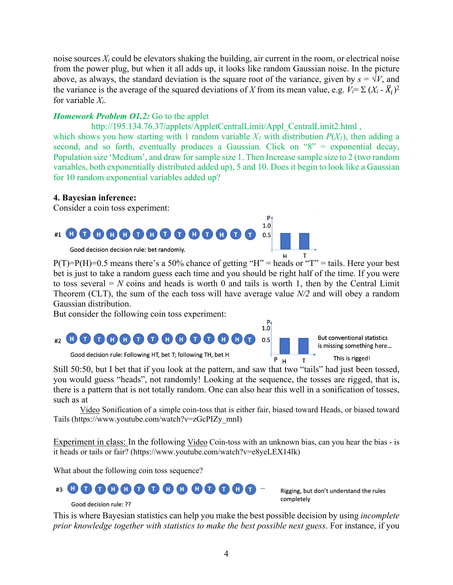noise sources  $X_i$  could be elevators shaking the building, air current in the room, or electrical noise from the power plug, but when it all adds up, it looks like random Gaussian noise. In the picture above, as always, the standard deviation is the square root of the variance, given by  $s = \sqrt{V}$ , and the variance is the average of the squared deviations of *X* from its mean value, e.g.  $V_i = \sum (X_i - \bar{X}_i)^2$ for variable *Xi*.

### *Homework Problem O1.2:* Go to the applet

http://195.134.76.37/applets/AppletCentralLimit/Appl\_CentralLimit2.html ,

which shows you how starting with 1 random variable  $X_l$  with distribution  $P(X_l)$ , then adding a second, and so forth, eventually produces a Gaussian. Click on "8" = exponential decay, Population size 'Medium', and draw for sample size 1. Then Increase sample size to 2 (two random variables, both exponentially distributed added up), 5 and 10. Does it begin to look like a Gaussian for 10 random exponential variables added up?

## **4. Bayesian inference:**

Consider a coin toss experiment:



 $P(T)=P(H)=0.5$  means there's a 50% chance of getting "H" = heads or "T" = tails. Here your best bet is just to take a random guess each time and you should be right half of the time. If you were to toss several  $= N$  coins and heads is worth 0 and tails is worth 1, then by the Central Limit Theorem (CLT), the sum of the each toss will have average value *N/2* and will obey a random Gaussian distribution.

But consider the following coin toss experiment:



Still 50:50, but I bet that if you look at the pattern, and saw that two "tails" had just been tossed, you would guess "heads", not randomly! Looking at the sequence, the tosses are rigged, that is, there is a pattern that is not totally random. One can also hear this well in a sonification of tosses, such as at

Video Sonification of a simple coin-toss that is either fair, biased toward Heads, or biased toward Tails (https://www.youtube.com/watch?v=zGcPIZy\_mnI)

Experiment in class: In the following Video Coin-toss with an unknown bias, can you hear the bias - is it heads or tails or fair? (https://www.youtube.com/watch?v=e8yeLEX14lk)

What about the following coin toss sequence?



#### Good decision rule: ??

Rigging, but don't understand the rules completely

This is where Bayesian statistics can help you make the best possible decision by using *incomplete prior knowledge together with statistics to make the best possible next guess*. For instance, if you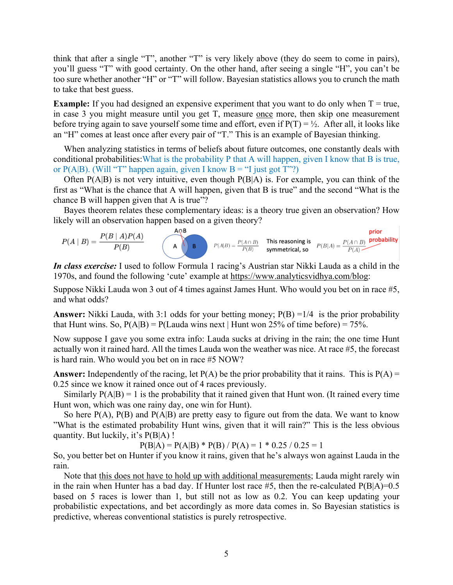think that after a single "T", another "T" is very likely above (they do seem to come in pairs), you'll guess "T" with good certainty. On the other hand, after seeing a single "H", you can't be too sure whether another "H" or "T" will follow. Bayesian statistics allows you to crunch the math to take that best guess.

**Example:** If you had designed an expensive experiment that you want to do only when T = true, in case 3 you might measure until you get T, measure once more, then skip one measurement before trying again to save yourself some time and effort, even if  $P(T) = \frac{1}{2}$ . After all, it looks like an "H" comes at least once after every pair of "T." This is an example of Bayesian thinking.

When analyzing statistics in terms of beliefs about future outcomes, one constantly deals with conditional probabilities:What is the probability P that A will happen, given I know that B is true, or  $P(A|B)$ . (Will "T" happen again, given I know  $B = "I$  just got T"?)

Often P(A|B) is not very intuitive, even though P(B|A) is. For example, you can think of the first as "What is the chance that A will happen, given that B is true" and the second "What is the chance B will happen given that A is true"?

Bayes theorem relates these complementary ideas: is a theory true given an observation? How likely will an observation happen based on a given theory?

$$
P(A | B) = \frac{P(B | A)P(A)}{P(B)}
$$
  
\n
$$
P(A|B) = \frac{P(A \cap B)}{P(B)}
$$
  
\nThis reasoning is  $P(B|A) = \frac{P(A \cap B)}{P(A)} = \frac{P(A \cap B)}{P(A)}$ 

*In class exercise:* I used to follow Formula 1 racing's Austrian star Nikki Lauda as a child in the 1970s, and found the following 'cute' example at https://www.analyticsvidhya.com/blog:

Suppose Nikki Lauda won 3 out of 4 times against James Hunt. Who would you bet on in race #5, and what odds?

**Answer:** Nikki Lauda, with 3:1 odds for your betting money; P(B) =1/4 is the prior probability that Hunt wins. So,  $P(A|B) = P(Lauda wins next | Hunt won 25% of time before) = 75%$ .

Now suppose I gave you some extra info: Lauda sucks at driving in the rain; the one time Hunt actually won it rained hard. All the times Lauda won the weather was nice. At race #5, the forecast is hard rain. Who would you bet on in race #5 NOW?

**Answer:** Independently of the racing, let  $P(A)$  be the prior probability that it rains. This is  $P(A)$  = 0.25 since we know it rained once out of 4 races previously.

Similarly  $P(A|B) = 1$  is the probability that it rained given that Hunt won. (It rained every time Hunt won, which was one rainy day, one win for Hunt).

So here  $P(A)$ ,  $P(B)$  and  $P(A|B)$  are pretty easy to figure out from the data. We want to know "What is the estimated probability Hunt wins, given that it will rain?" This is the less obvious quantity. But luckily, it's P(B|A) !

 $P(B|A) = P(A|B) * P(B) / P(A) = 1 * 0.25 / 0.25 = 1$ 

So, you better bet on Hunter if you know it rains, given that he's always won against Lauda in the rain.

Note that this does not have to hold up with additional measurements; Lauda might rarely win in the rain when Hunter has a bad day. If Hunter lost race  $#5$ , then the re-calculated  $P(B|A)=0.5$ based on 5 races is lower than 1, but still not as low as 0.2. You can keep updating your probabilistic expectations, and bet accordingly as more data comes in. So Bayesian statistics is predictive, whereas conventional statistics is purely retrospective.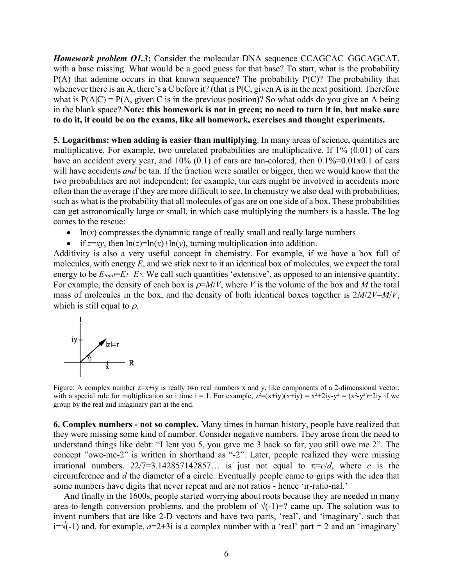*Homework problem O1.3*: Consider the molecular DNA sequence CCAGCAC GGCAGCAT, with a base missing. What would be a good guess for that base? To start, what is the probability  $P(A)$  that adenine occurs in that known sequence? The probability  $P(C)$ ? The probability that whenever there is an A, there's a C before it? (that is P(C, given A is in the next position). Therefore what is  $P(A|C) = P(A, given C$  is in the previous position)? So what odds do you give an A being in the blank space? **Note: this homework is not in green; no need to turn it in, but make sure to do it, it could be on the exams, like all homework, exercises and thought experiments.**

**5. Logarithms: when adding is easier than multiplying**. In many areas of science, quantities are multiplicative. For example, two unrelated probabilities are multiplicative. If 1% (0.01) of cars have an accident every year, and  $10\%$  (0.1) of cars are tan-colored, then  $0.1\%$ =0.01x0.1 of cars will have accidents *and* be tan. If the fraction were smaller or bigger, then we would know that the two probabilities are not independent; for example, tan cars might be involved in accidents more often than the average if they are more difficult to see. In chemistry we also deal with probabilities, such as what is the probability that all molecules of gas are on one side of a box. These probabilities can get astronomically large or small, in which case multiplying the numbers is a hassle. The log comes to the rescue:

- $\bullet$  ln(*x*) compresses the dynamnic range of really small and really large numbers
- if  $z=xy$ , then  $\ln(z)=\ln(x)+\ln(y)$ , turning multiplication into addition.

Additivity is also a very useful concept in chemistry. For example, if we have a box full of molecules, with energy *E*, and we stick next to it an identical box of molecules, we expect the total energy to be  $E_{total} = E_1 + E_2$ . We call such quantities 'extensive', as opposed to an intensive quantity. For example, the density of each box is  $\rho=M/V$ , where *V* is the volume of the box and *M* the total mass of molecules in the box, and the density of both identical boxes together is 2*M*/2*V*=*M*/*V*, which is still equal to  $\rho$ .



Figure: A complex number  $z=x+iy$  is really two real numbers x and y, like components of a 2-dimensional vector, with a special rule for multiplication so i time  $i = 1$ . For example,  $z^2 = (x+iy)(x+iy) = x^2+2iy-y^2 = (x^2-y^2)+2iy$  if we group by the real and imaginary part at the end.

**6. Complex numbers - not so complex.** Many times in human history, people have realized that they were missing some kind of number. Consider negative numbers. They arose from the need to understand things like debt: "I lent you 5, you gave me 3 back so far, you still owe me 2". The concept "owe-me-2" is written in shorthand as "-2". Later, people realized they were missing irrational numbers. 22/7=3.142857142857... is just not equal to  $\pi = c/d$ , where *c* is the circumference and *d* the diameter of a circle. Eventually people came to grips with the idea that some numbers have digits that never repeat and are not ratios - hence 'ir-ratio-nal.'

And finally in the 1600s, people started worrying about roots because they are needed in many area-to-length conversion problems, and the problem of  $\sqrt{(-1)}$ =? came up. The solution was to invent numbers that are like 2-D vectors and have two parts, 'real', and 'imaginary', such that i=√(-1) and, for example,  $a=2+3i$  is a complex number with a 'real' part = 2 and an 'imaginary'